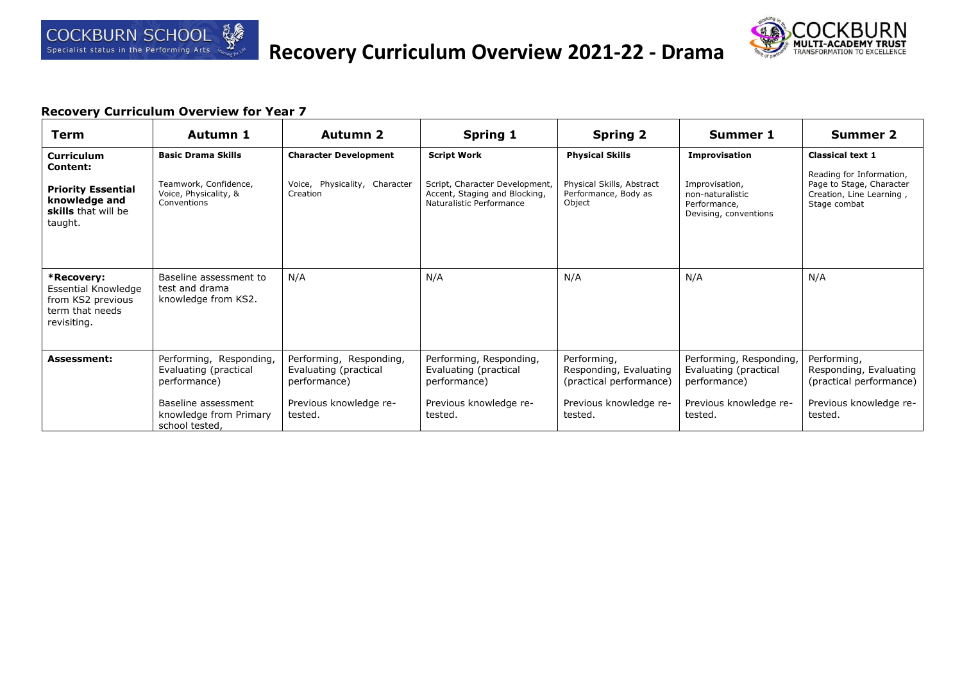



| <b>Term</b>                                                                              | Autumn 1                                                         | <b>Autumn 2</b>                                                  | Spring 1                                                                                    | <b>Spring 2</b>                                                  | <b>Summer 1</b>                                                             | <b>Summer 2</b>                                                                                  |
|------------------------------------------------------------------------------------------|------------------------------------------------------------------|------------------------------------------------------------------|---------------------------------------------------------------------------------------------|------------------------------------------------------------------|-----------------------------------------------------------------------------|--------------------------------------------------------------------------------------------------|
| <b>Curriculum</b><br><b>Content:</b>                                                     | <b>Basic Drama Skills</b>                                        | <b>Character Development</b>                                     | <b>Script Work</b>                                                                          | <b>Physical Skills</b>                                           | <b>Improvisation</b>                                                        | <b>Classical text 1</b>                                                                          |
| <b>Priority Essential</b><br>knowledge and<br>skills that will be<br>taught.             | Teamwork, Confidence,<br>Voice, Physicality, &<br>Conventions    | Voice, Physicality, Character<br>Creation                        | Script, Character Development,<br>Accent, Staging and Blocking,<br>Naturalistic Performance | Physical Skills, Abstract<br>Performance, Body as<br>Object      | Improvisation,<br>non-naturalistic<br>Performance,<br>Devising, conventions | Reading for Information,<br>Page to Stage, Character<br>Creation, Line Learning,<br>Stage combat |
| *Recovery:<br>Essential Knowledge<br>from KS2 previous<br>term that needs<br>revisiting. | Baseline assessment to<br>test and drama<br>knowledge from KS2.  | N/A                                                              | N/A                                                                                         | N/A                                                              | N/A                                                                         | N/A                                                                                              |
| <b>Assessment:</b>                                                                       | Performing, Responding,<br>Evaluating (practical<br>performance) | Performing, Responding,<br>Evaluating (practical<br>performance) | Performing, Responding,<br>Evaluating (practical<br>performance)                            | Performing,<br>Responding, Evaluating<br>(practical performance) | Performing, Responding,<br>Evaluating (practical<br>performance)            | Performing,<br>Responding, Evaluating<br>(practical performance)                                 |
|                                                                                          | Baseline assessment<br>knowledge from Primary<br>school tested,  | Previous knowledge re-<br>tested.                                | Previous knowledge re-<br>tested.                                                           | Previous knowledge re-<br>tested.                                | Previous knowledge re-<br>tested.                                           | Previous knowledge re-<br>tested.                                                                |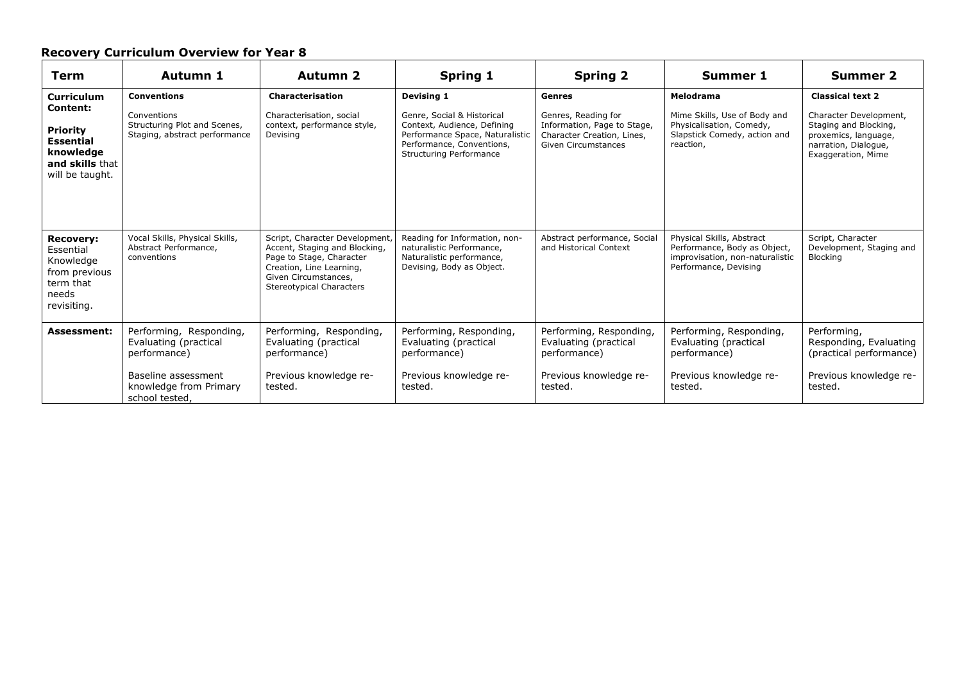| Term                                                                                                                    | Autumn 1                                                                                                                            | <b>Autumn 2</b>                                                                                                                                                                    | <b>Spring 1</b>                                                                                                                                                           | <b>Spring 2</b>                                                                                                          | <b>Summer 1</b>                                                                                                       | <b>Summer 2</b>                                                                                                                                  |
|-------------------------------------------------------------------------------------------------------------------------|-------------------------------------------------------------------------------------------------------------------------------------|------------------------------------------------------------------------------------------------------------------------------------------------------------------------------------|---------------------------------------------------------------------------------------------------------------------------------------------------------------------------|--------------------------------------------------------------------------------------------------------------------------|-----------------------------------------------------------------------------------------------------------------------|--------------------------------------------------------------------------------------------------------------------------------------------------|
| <b>Curriculum</b><br>Content:<br><b>Priority</b><br><b>Essential</b><br>knowledge<br>and skills that<br>will be taught. | <b>Conventions</b><br>Conventions<br>Structuring Plot and Scenes,<br>Staging, abstract performance                                  | <b>Characterisation</b><br>Characterisation, social<br>context, performance style,<br>Devising                                                                                     | Devising 1<br>Genre, Social & Historical<br>Context, Audience, Defining<br>Performance Space, Naturalistic<br>Performance, Conventions,<br><b>Structuring Performance</b> | Genres<br>Genres, Reading for<br>Information, Page to Stage,<br>Character Creation, Lines,<br><b>Given Circumstances</b> | Melodrama<br>Mime Skills, Use of Body and<br>Physicalisation, Comedy,<br>Slapstick Comedy, action and<br>reaction,    | <b>Classical text 2</b><br>Character Development,<br>Staging and Blocking,<br>proxemics, language,<br>narration, Dialogue,<br>Exaggeration, Mime |
| <b>Recovery:</b><br>Essential<br>Knowledge<br>from previous<br>term that<br>needs<br>revisiting.                        | Vocal Skills, Physical Skills,<br>Abstract Performance,<br>conventions                                                              | Script, Character Development,<br>Accent, Staging and Blocking,<br>Page to Stage, Character<br>Creation, Line Learning,<br>Given Circumstances,<br><b>Stereotypical Characters</b> | Reading for Information, non-<br>naturalistic Performance,<br>Naturalistic performance,<br>Devising, Body as Object.                                                      | Abstract performance, Social<br>and Historical Context                                                                   | Physical Skills, Abstract<br>Performance, Body as Object,<br>improvisation, non-naturalistic<br>Performance, Devising | Script, Character<br>Development, Staging and<br>Blocking                                                                                        |
| <b>Assessment:</b>                                                                                                      | Performing, Responding,<br>Evaluating (practical<br>performance)<br>Baseline assessment<br>knowledge from Primary<br>school tested. | Performing, Responding,<br>Evaluating (practical<br>performance)<br>Previous knowledge re-<br>tested.                                                                              | Performing, Responding,<br>Evaluating (practical<br>performance)<br>Previous knowledge re-<br>tested.                                                                     | Performing, Responding,<br>Evaluating (practical<br>performance)<br>Previous knowledge re-<br>tested.                    | Performing, Responding,<br>Evaluating (practical<br>performance)<br>Previous knowledge re-<br>tested.                 | Performing,<br>Responding, Evaluating<br>(practical performance)<br>Previous knowledge re-<br>tested.                                            |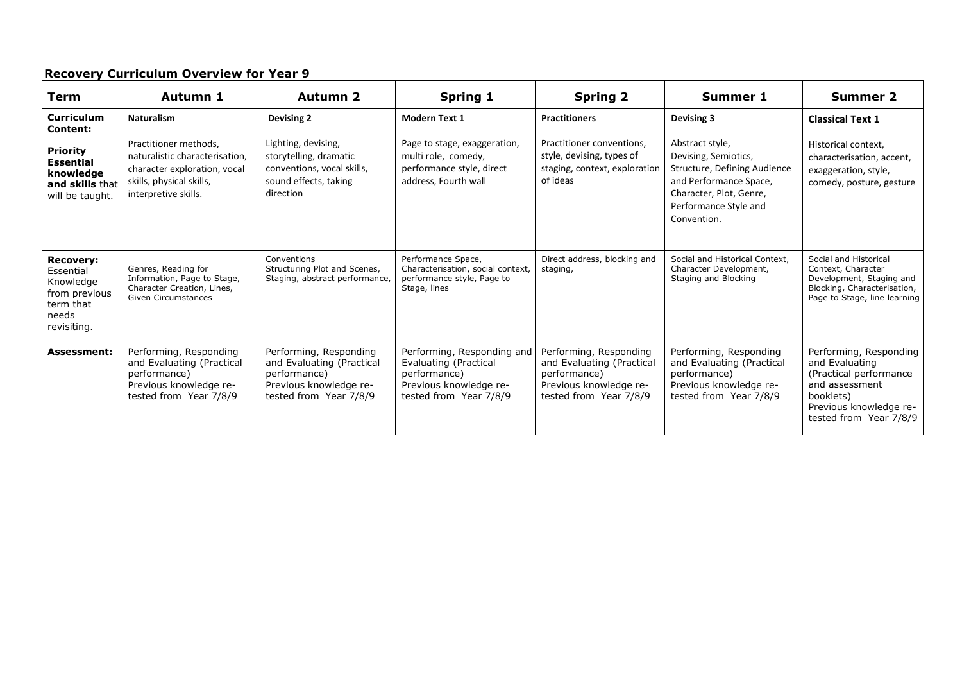| Term                                                                                             | Autumn 1                                                                                                                                    | <b>Autumn 2</b>                                                                                                         | <b>Spring 1</b>                                                                                                         | <b>Spring 2</b>                                                                                                         | <b>Summer 1</b>                                                                                                                                                      | <b>Summer 2</b>                                                                                                                                        |
|--------------------------------------------------------------------------------------------------|---------------------------------------------------------------------------------------------------------------------------------------------|-------------------------------------------------------------------------------------------------------------------------|-------------------------------------------------------------------------------------------------------------------------|-------------------------------------------------------------------------------------------------------------------------|----------------------------------------------------------------------------------------------------------------------------------------------------------------------|--------------------------------------------------------------------------------------------------------------------------------------------------------|
| <b>Curriculum</b><br>Content:                                                                    | <b>Naturalism</b>                                                                                                                           | <b>Devising 2</b>                                                                                                       | <b>Modern Text 1</b>                                                                                                    | <b>Practitioners</b>                                                                                                    | Devising 3                                                                                                                                                           | <b>Classical Text 1</b>                                                                                                                                |
| <b>Priority</b><br><b>Essential</b><br>knowledge<br>and skills that<br>will be taught.           | Practitioner methods,<br>naturalistic characterisation,<br>character exploration, vocal<br>skills, physical skills,<br>interpretive skills. | Lighting, devising,<br>storytelling, dramatic<br>conventions, vocal skills,<br>sound effects, taking<br>direction       | Page to stage, exaggeration,<br>multi role, comedy,<br>performance style, direct<br>address, Fourth wall                | Practitioner conventions,<br>style, devising, types of<br>staging, context, exploration<br>of ideas                     | Abstract style,<br>Devising, Semiotics,<br>Structure, Defining Audience<br>and Performance Space,<br>Character, Plot, Genre,<br>Performance Style and<br>Convention. | Historical context,<br>characterisation, accent,<br>exaggeration, style,<br>comedy, posture, gesture                                                   |
| <b>Recovery:</b><br>Essential<br>Knowledge<br>from previous<br>term that<br>needs<br>revisiting. | Genres, Reading for<br>Information, Page to Stage,<br>Character Creation, Lines,<br>Given Circumstances                                     | Conventions<br>Structuring Plot and Scenes,<br>Staging, abstract performance,                                           | Performance Space,<br>Characterisation, social context,<br>performance style, Page to<br>Stage, lines                   | Direct address, blocking and<br>staging,                                                                                | Social and Historical Context,<br>Character Development,<br>Staging and Blocking                                                                                     | Social and Historical<br>Context, Character<br>Development, Staging and<br>Blocking, Characterisation,<br>Page to Stage, line learning                 |
| <b>Assessment:</b>                                                                               | Performing, Responding<br>and Evaluating (Practical<br>performance)<br>Previous knowledge re-<br>tested from Year 7/8/9                     | Performing, Responding<br>and Evaluating (Practical<br>performance)<br>Previous knowledge re-<br>tested from Year 7/8/9 | Performing, Responding and<br>Evaluating (Practical<br>performance)<br>Previous knowledge re-<br>tested from Year 7/8/9 | Performing, Responding<br>and Evaluating (Practical<br>performance)<br>Previous knowledge re-<br>tested from Year 7/8/9 | Performing, Responding<br>and Evaluating (Practical<br>performance)<br>Previous knowledge re-<br>tested from Year 7/8/9                                              | Performing, Responding<br>and Evaluating<br>(Practical performance)<br>and assessment<br>booklets)<br>Previous knowledge re-<br>tested from Year 7/8/9 |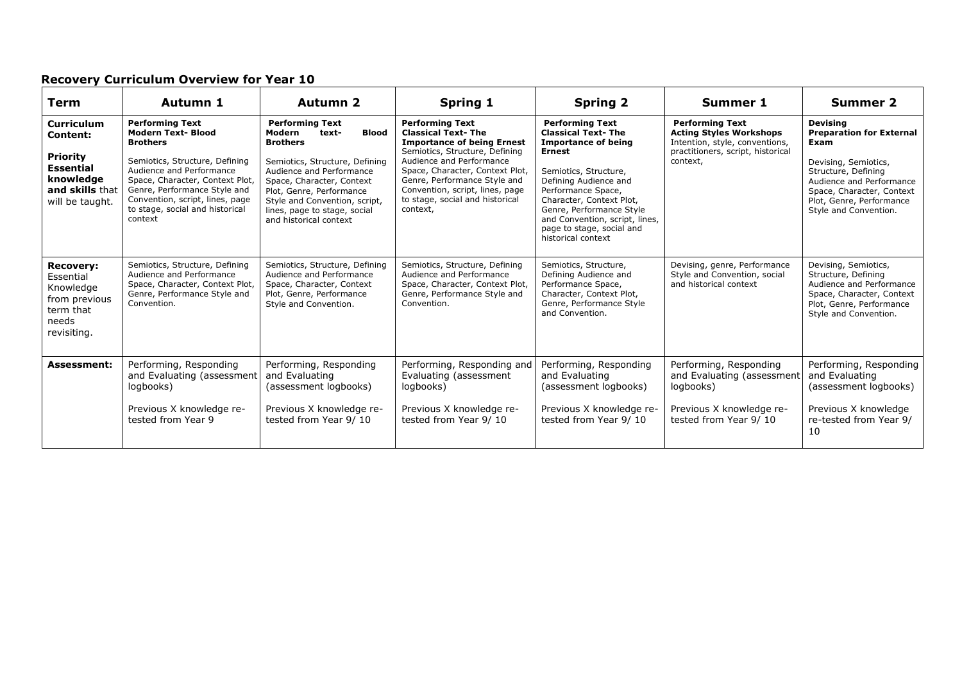| Term                                                                                                                           | Autumn 1                                                                                                                                                                                                                                                                                 | <b>Autumn 2</b>                                                                                                                                                                                                                                                                                | Spring 1                                                                                                                                                                                                                                                                                                    | <b>Spring 2</b>                                                                                                                                                                                                                                                                                                         | <b>Summer 1</b>                                                                                                                             | <b>Summer 2</b>                                                                                                                                                                                                         |
|--------------------------------------------------------------------------------------------------------------------------------|------------------------------------------------------------------------------------------------------------------------------------------------------------------------------------------------------------------------------------------------------------------------------------------|------------------------------------------------------------------------------------------------------------------------------------------------------------------------------------------------------------------------------------------------------------------------------------------------|-------------------------------------------------------------------------------------------------------------------------------------------------------------------------------------------------------------------------------------------------------------------------------------------------------------|-------------------------------------------------------------------------------------------------------------------------------------------------------------------------------------------------------------------------------------------------------------------------------------------------------------------------|---------------------------------------------------------------------------------------------------------------------------------------------|-------------------------------------------------------------------------------------------------------------------------------------------------------------------------------------------------------------------------|
| <b>Curriculum</b><br><b>Content:</b><br><b>Priority</b><br><b>Essential</b><br>knowledge<br>and skills that<br>will be taught. | <b>Performing Text</b><br><b>Modern Text- Blood</b><br><b>Brothers</b><br>Semiotics, Structure, Defining<br>Audience and Performance<br>Space, Character, Context Plot,<br>Genre, Performance Style and<br>Convention, script, lines, page<br>to stage, social and historical<br>context | <b>Performing Text</b><br><b>Blood</b><br>Modern<br>text-<br><b>Brothers</b><br>Semiotics, Structure, Defining<br>Audience and Performance<br>Space, Character, Context<br>Plot, Genre, Performance<br>Style and Convention, script,<br>lines, page to stage, social<br>and historical context | <b>Performing Text</b><br><b>Classical Text-The</b><br><b>Importance of being Ernest</b><br>Semiotics, Structure, Defining<br>Audience and Performance<br>Space, Character, Context Plot,<br>Genre, Performance Style and<br>Convention, script, lines, page<br>to stage, social and historical<br>context, | <b>Performing Text</b><br><b>Classical Text-The</b><br><b>Importance of being</b><br><b>Ernest</b><br>Semiotics, Structure,<br>Defining Audience and<br>Performance Space,<br>Character, Context Plot,<br>Genre, Performance Style<br>and Convention, script, lines,<br>page to stage, social and<br>historical context | <b>Performing Text</b><br><b>Acting Styles Workshops</b><br>Intention, style, conventions,<br>practitioners, script, historical<br>context, | <b>Devising</b><br><b>Preparation for External</b><br>Exam<br>Devising, Semiotics,<br>Structure, Defining<br>Audience and Performance<br>Space, Character, Context<br>Plot, Genre, Performance<br>Style and Convention. |
| <b>Recovery:</b><br>Essential<br>Knowledge<br>from previous<br>term that<br>needs<br>revisiting.                               | Semiotics, Structure, Defining<br>Audience and Performance<br>Space, Character, Context Plot,<br>Genre, Performance Style and<br>Convention.                                                                                                                                             | Semiotics, Structure, Defining<br>Audience and Performance<br>Space, Character, Context<br>Plot, Genre, Performance<br>Style and Convention.                                                                                                                                                   | Semiotics, Structure, Defining<br>Audience and Performance<br>Space, Character, Context Plot,<br>Genre, Performance Style and<br>Convention.                                                                                                                                                                | Semiotics, Structure,<br>Defining Audience and<br>Performance Space,<br>Character, Context Plot,<br>Genre, Performance Style<br>and Convention.                                                                                                                                                                         | Devising, genre, Performance<br>Style and Convention, social<br>and historical context                                                      | Devising, Semiotics,<br>Structure, Defining<br>Audience and Performance<br>Space, Character, Context<br>Plot, Genre, Performance<br>Style and Convention.                                                               |
| <b>Assessment:</b>                                                                                                             | Performing, Responding<br>and Evaluating (assessment<br>logbooks)<br>Previous X knowledge re-<br>tested from Year 9                                                                                                                                                                      | Performing, Responding<br>and Evaluating<br>(assessment logbooks)<br>Previous X knowledge re-<br>tested from Year 9/10                                                                                                                                                                         | Performing, Responding and<br>Evaluating (assessment<br>logbooks)<br>Previous X knowledge re-<br>tested from Year 9/10                                                                                                                                                                                      | Performing, Responding<br>and Evaluating<br>(assessment logbooks)<br>Previous X knowledge re-<br>tested from Year 9/10                                                                                                                                                                                                  | Performing, Responding<br>and Evaluating (assessment<br>logbooks)<br>Previous X knowledge re-<br>tested from Year 9/10                      | Performing, Responding<br>and Evaluating<br>(assessment logbooks)<br>Previous X knowledge<br>re-tested from Year 9/<br>10                                                                                               |